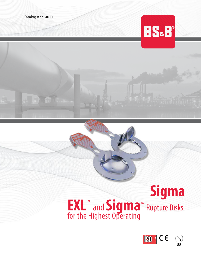Catalog #77- 4011



# **Sigma EXL**™ and **Sigma**™ Rupture Disks for the Highest Operating

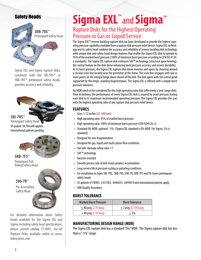## Safety Heads



Sigma EXL and Sigma rupture disks, combined with the SRI-7RS™ or SRB-7RS™ pretorqued safety heads, provides accuracy and reliability.



International patents pending



Pretorqued Full-Bolted Safety Head



For detailed information about Safety heads available for the Sigma EXL and Sigma, including safety head specifications, please consult catalog 77-4001, Sta-Saf Rupture Disks, available online at www. bsbsystems.com

## **Sigma EXL**™ and **Sigma**™ Rupture Disks for the Highest Operating Pressure in Gas or Liquid Service

The Sigma EXL<sup>™</sup> reverse buckling rupture disk has been developed to provide the highest operating pressure capability available from a rupture disk pressure relief device. Sigma EXL technology and its safety head combine the accuracy and reliability of reverse buckling disk technology with unique disk and safety head design features that enable the Sigma EXL disk to operate to 95% of the marked burst pressure (100% of minimum burst pressure according to CEN ISO 4126- 2 standards). The Sigma EXL rupture disk embraces SAF<sup>TM</sup> technology (structural apex forming), the central feature on the disk dome enhancing burst pressure accuracy and service durability. At its burst pressure, the Sigma EXL rupture disk dome reverses and opens by shearing around a circular score line located near the perimeter of the dome. The score line engages with one or more points on the integral hinge down stream of the disk. The disk opens with the central petal supported by the hinge, avoiding fragmentation. The Sigma EXL is offered with a simple burst pressure tolerance.

No MDR needs to be considered for this high operating ratio disk (effectively a 'zero' range disk). Prior to delivery, the performance of every Sigma EXL disk is assured by proof pressure testing each disk to its maximum recommended operating pressure. The Sigma EXL provides the user with the highest operating ratio of any rupture disk pressure relief device.

#### **FEATURES**

- Sizes 1-12 inches (25-300 mm)
- High operating ratio: 95% of marked burst pressure
- High operating ratio: 100% of minimum burst pressure (CEN ISO4126-2)
- Standard 0% MDR, optional –5%. (Sigma EXL standard is 0% MDR. For Sigma, 5% is standard)
- Designed for non-fragmentation
- Designed for gas, liquid and multi-phase flow conditions
- Fail safe: damage safety ratio <1
- SAF™ technology
- Vacuum resistant
- Smooth process side of disk resists product accumulation
- Long service life in pressure cycling or pulsating conditions
- For installation in Types SRI-7RS, SRB-7RS, S90-7R, SRB-7FS and TR-Series pretorqued safety heads
- US patents 6178983, 6321582, 6446653, 6494074 and international patents apply
- AQA Quality Assurance

#### **BURST TOLERANCE**

| <b>Marked Burst Pressure</b> | <b>Burst Tolerance</b>    |
|------------------------------|---------------------------|
| $\leq$ 40 psig (2.76 barg)   | $\pm$ 2 psig (0.138 barg) |
| $>$ 40 psig (2.76 barg)      | $+5%$                     |

### **MANUFACTURING DESIGN RANGE (MDR)**

The Sigma EXL rupture disk has a standard "0%" MDR. The Sigma rupture disk has less than a "-5%" range.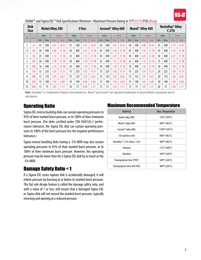

|     | <b>Disk</b><br><b>Size</b> |     |      | <b>Nickel Alloy 200</b> |            |     |      | 316ss      |            |     |      | Inconel <sup>®</sup> Alloy 600 |            |     |      | Monel <sup>®</sup> Alloy 400 |            |     |      | Hastelloy <sup>®</sup> Alloy<br>$C-276$ |            |
|-----|----------------------------|-----|------|-------------------------|------------|-----|------|------------|------------|-----|------|--------------------------------|------------|-----|------|------------------------------|------------|-----|------|-----------------------------------------|------------|
| in  |                            |     | psig |                         | barg       |     | psig |            | barg       |     | psig |                                | barg       |     | psig |                              | barg       |     | psig |                                         | barg       |
|     | mm                         | Min | Max  | Min                     | <b>Max</b> | Min | Max  | <b>Min</b> | <b>Max</b> | Min | Max  | Min                            | <b>Max</b> | Min | Max  | Min                          | <b>Max</b> | Min | Max  | Min                                     | <b>Max</b> |
|     | 25                         | 35  | 500  | 2.41                    | 34.47      | 35  | 500  | 2.41       | 34.47      | 50  | 500  | 3.45                           | 34.47      | 58  | 500  | 4.00                         | 34.47      | 55  | 500  | 3.79                                    | 34.47      |
| 1.5 | 40                         | 30  | 400  | 2.06                    | 27.58      | 30  | 400  | 2.07       | 27.58      | 45  | 400  | 3.10                           | 27.58      | 45  | 400  | 3.10                         | 27.58      | 45  | 400  | 3.10                                    | 27.58      |
|     | 50                         | 25  | 400  | 1.72                    | 27.58      | 25  | 400  | 1.72       | 27.58      | 30  | 400  | 2.07                           | 27.58      | 30  | 400  | 2.07                         | 27.58      | 30  | 400  | 2.07                                    | 27.58      |
| 3   | 80                         | 20  | 400  | 1.38                    | 27.58      | 20  | 400  | 1.38       | 27.58      | 22  | 400  | 1.52                           | 27.58      | 22  | 400  | 1.52                         | 27.58      | 25  | 400  | 1.72                                    | 27.58      |
| 4   | 100                        | 16  | 400  | 1.10                    | 27.58      | 16  | 400  | 1.10       | 27.58      | 18  | 400  | 1.24                           | 27.58      | 18  | 400  | 1.24                         | 27.58      | 20  | 400  | 1.38                                    | 27.58      |
| 6   | 150                        | 15  | 225  | 1.03                    | 15.51      | 15  | 225  | 1.03       | 15.51      | 15  | 225  | 1.03                           | 15.51      | 15  | 225  | 1.03                         | 15.51      | 20  | 225  | 1.38                                    | 15.51      |
| 8   | 200                        | 15  | 125  | 1.03                    | 8.62       | 15  | 125  | 1.03       | 8.62       | 15  | 125  | 1.03                           | 8.62       | 15  | 125  | 1.03                         | 8.62       | 20  | 125  | 1.38                                    | 8.62       |
| 10  | 250                        | 15  | 100  | 1.03                    | 6.89       | 10  | 100  | 0.69       | 6.89       | 15  | 100  | 1.03                           | 6.89       | 15  | 100  | 1.03                         | 6.89       | 20  | 100  | 1.38                                    | 6.89       |
| 12  | 300                        | 15  | 75   | 1.03                    | 5.17       | 10  | 75   | 0.69       | 5.17       | 15  | 75   | 1.03                           | 5.17       | 15  | 75   | 1.03                         | 5.17       | 20  | 75   | 1.38                                    | 5.17       |

#### SIGMA™ and Sigma EXL™ Disk Specifications Minimum / Maximum Pressure Rating at 72°F (22°C) PSIG (Barg)

*Note: Hastelloy® is a trademark of Haynes International Inc. Monel® and Inconel® are registered trademarks of Special Metals Corporation and Its subsidiaries.*

## Operating Ratio

Sigma EXL reverse buckling disks can sustain operating pressures to 95% of their marked burst pressure, or to 100% of their minimum burst pressure. (For disks certified under CEN ISO4126-2 'performance tolerance', the Sigma EXL disk can sustain operating pressures to 100% of the burst pressure less the negative performance tolerance.)

Sigma reverse buckling disks having a -5% MDR may also sustain operating pressures to 95% of their marked burst pressure, or to 100% of their minimum burst pressure. However, this operating pressure may be lower than for a Sigma EXL disk by as much as the -5% MDR.

## Damage Safety Ratio < 1

If a Sigma EXL series rupture disk is accidentally damaged, it will relieve pressure by bursting at or below its marked burst pressure. This fail safe design feature is called the damage safety ratio, and with a value of 1 or less, will ensure that a damaged Sigma EXL or Sigma disk will not exceed the marked burst pressure, typically reversing and opening at a reduced pressure.

#### Maximum Recommended Temperature

| <b>Material</b>                  | Max. Temperature |
|----------------------------------|------------------|
| Nickel (alloy 200)               | 750°F (399°C)    |
| Monel <sup>®</sup> (alloy 400)   | 900°F (482°C)    |
| Inconel <sup>®</sup> (alloy 600) | 1100°F (593°C)   |
| 316 stainless steel              | 900°F (482°C)    |
| Hastelloy® C-276 (alloy C-276)   | 900°F (482°C)    |
| Titanium                         | 572°F (300°C)    |
| Tantalum                         | 500°F (260°C)    |
| Fluoropolymer liner (PTFE)       | 500°F (260°C)    |
| Fluoropolymer liner (FEP, PFA)   | 400°F (204°C)    |